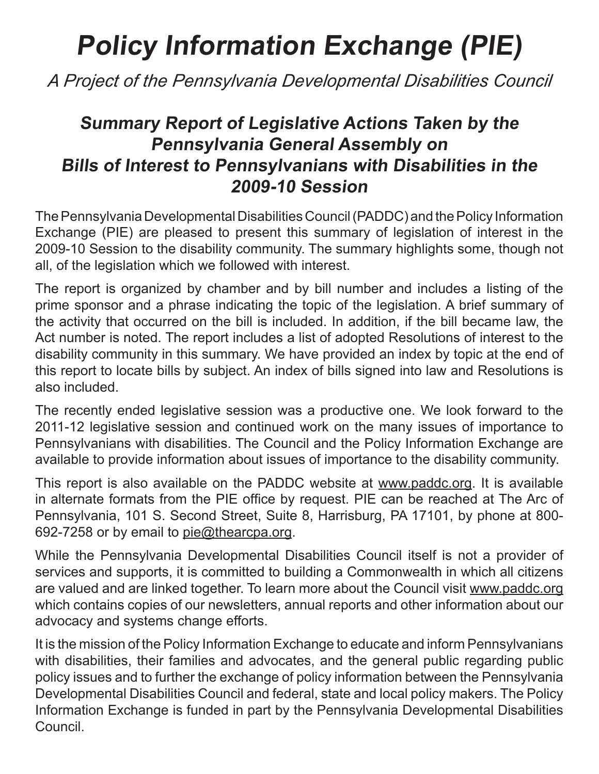# **Policy Information Exchange (PIE)**

*A Project of the Pennsylvania Developmental Disabilities Council*

## **Summary Report of Legislative Actions Taken by the Pennsylvania General Assembly on Bills of Interest to Pennsylvanians with Disabilities in the 2009-10 Session**

The Pennsylvania Developmental Disabilities Council (PADDC) and the Policy Information Exchange (PIE) are pleased to present this summary of legislation of interest in the 2009-10 Session to the disability community. The summary highlights some, though not all, of the legislation which we followed with interest.

The report is organized by chamber and by bill number and includes a listing of the prime sponsor and a phrase indicating the topic of the legislation. A brief summary of the activity that occurred on the bill is included. In addition, if the bill became law, the Act number is noted. The report includes a list of adopted Resolutions of interest to the disability community in this summary. We have provided an index by topic at the end of this report to locate bills by subject. An index of bills signed into law and Resolutions is also included.

The recently ended legislative session was a productive one. We look forward to the 2011-12 legislative session and continued work on the many issues of importance to Pennsylvanians with disabilities. The Council and the Policy Information Exchange are available to provide information about issues of importance to the disability community.

This report is also available on the PADDC website at www.paddc.org. It is available in alternate formats from the PIE office by request. PIE can be reached at The Arc of Pennsylvania, 101 S. Second Street, Suite 8, Harrisburg, PA 17101, by phone at 800- 692-7258 or by email to pie@thearcpa.org.

While the Pennsylvania Developmental Disabilities Council itself is not a provider of services and supports, it is committed to building a Commonwealth in which all citizens are valued and are linked together. To learn more about the Council visit www.paddc.org which contains copies of our newsletters, annual reports and other information about our advocacy and systems change efforts.

It is the mission of the Policy Information Exchange to educate and inform Pennsylvanians with disabilities, their families and advocates, and the general public regarding public policy issues and to further the exchange of policy information between the Pennsylvania Developmental Disabilities Council and federal, state and local policy makers. The Policy Information Exchange is funded in part by the Pennsylvania Developmental Disabilities Council.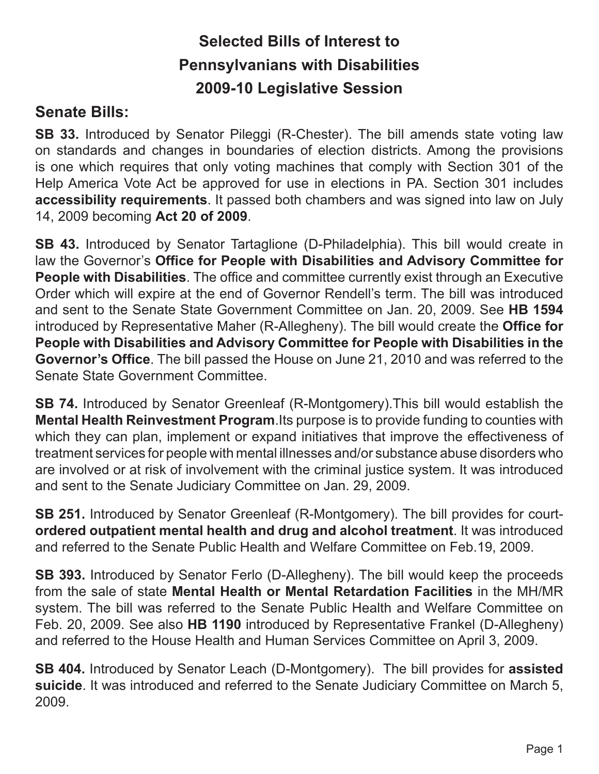## **Selected Bills of Interest to Pennsylvanians with Disabilities 2009-10 Legislative Session**

### **Senate Bills:**

**SB 33.** Introduced by Senator Pileggi (R-Chester). The bill amends state voting law on standards and changes in boundaries of election districts. Among the provisions is one which requires that only voting machines that comply with Section 301 of the Help America Vote Act be approved for use in elections in PA. Section 301 includes **accessibility requirements**. It passed both chambers and was signed into law on July 14, 2009 becoming **Act 20 of 2009**.

**SB 43.** Introduced by Senator Tartaglione (D-Philadelphia). This bill would create in law the Governor's **Office for People with Disabilities and Advisory Committee for People with Disabilities**. The office and committee currently exist through an Executive Order which will expire at the end of Governor Rendell's term. The bill was introduced and sent to the Senate State Government Committee on Jan. 20, 2009. See **HB 1594**  introduced by Representative Maher (R-Allegheny). The bill would create the **Office for People with Disabilities and Advisory Committee for People with Disabilities in the Governor's Office**. The bill passed the House on June 21, 2010 and was referred to the Senate State Government Committee.

**SB 74.** Introduced by Senator Greenleaf (R-Montgomery).This bill would establish the **Mental Health Reinvestment Program**.Its purpose is to provide funding to counties with which they can plan, implement or expand initiatives that improve the effectiveness of treatment services for people with mental illnesses and/or substance abuse disorders who are involved or at risk of involvement with the criminal justice system. It was introduced and sent to the Senate Judiciary Committee on Jan. 29, 2009.

**SB 251.** Introduced by Senator Greenleaf (R-Montgomery). The bill provides for court**ordered outpatient mental health and drug and alcohol treatment**. It was introduced and referred to the Senate Public Health and Welfare Committee on Feb.19, 2009.

**SB 393.** Introduced by Senator Ferlo (D-Allegheny). The bill would keep the proceeds from the sale of state **Mental Health or Mental Retardation Facilities** in the MH/MR system. The bill was referred to the Senate Public Health and Welfare Committee on Feb. 20, 2009. See also **HB 1190** introduced by Representative Frankel (D-Allegheny) and referred to the House Health and Human Services Committee on April 3, 2009.

**SB 404.** Introduced by Senator Leach (D-Montgomery). The bill provides for **assisted suicide**. It was introduced and referred to the Senate Judiciary Committee on March 5, 2009.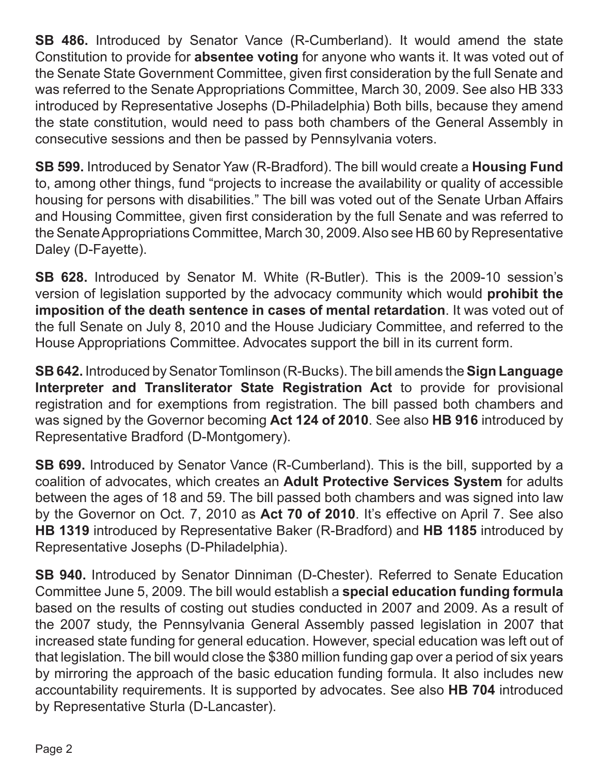**SB 486.** Introduced by Senator Vance (R-Cumberland). It would amend the state Constitution to provide for **absentee voting** for anyone who wants it. It was voted out of the Senate State Government Committee, given first consideration by the full Senate and was referred to the Senate Appropriations Committee, March 30, 2009. See also HB 333 introduced by Representative Josephs (D-Philadelphia) Both bills, because they amend the state constitution, would need to pass both chambers of the General Assembly in consecutive sessions and then be passed by Pennsylvania voters.

**SB 599.** Introduced by Senator Yaw (R-Bradford). The bill would create a **Housing Fund**  to, among other things, fund "projects to increase the availability or quality of accessible housing for persons with disabilities." The bill was voted out of the Senate Urban Affairs and Housing Committee, given first consideration by the full Senate and was referred to the Senate Appropriations Committee, March 30, 2009. Also see HB 60 by Representative Daley (D-Fayette).

**SB 628.** Introduced by Senator M. White (R-Butler). This is the 2009-10 session's version of legislation supported by the advocacy community which would **prohibit the imposition of the death sentence in cases of mental retardation**. It was voted out of the full Senate on July 8, 2010 and the House Judiciary Committee, and referred to the House Appropriations Committee. Advocates support the bill in its current form.

**SB 642.** Introduced by Senator Tomlinson (R-Bucks). The bill amends the **Sign Language Interpreter and Transliterator State Registration Act** to provide for provisional registration and for exemptions from registration. The bill passed both chambers and was signed by the Governor becoming **Act 124 of 2010**. See also **HB 916** introduced by Representative Bradford (D-Montgomery).

**SB 699.** Introduced by Senator Vance (R-Cumberland). This is the bill, supported by a coalition of advocates, which creates an **Adult Protective Services System** for adults between the ages of 18 and 59. The bill passed both chambers and was signed into law by the Governor on Oct. 7, 2010 as **Act 70 of 2010**. It's effective on April 7. See also **HB 1319** introduced by Representative Baker (R-Bradford) and **HB 1185** introduced by Representative Josephs (D-Philadelphia).

**SB 940.** Introduced by Senator Dinniman (D-Chester). Referred to Senate Education Committee June 5, 2009. The bill would establish a **special education funding formula**  based on the results of costing out studies conducted in 2007 and 2009. As a result of the 2007 study, the Pennsylvania General Assembly passed legislation in 2007 that increased state funding for general education. However, special education was left out of that legislation. The bill would close the \$380 million funding gap over a period of six years by mirroring the approach of the basic education funding formula. It also includes new accountability requirements. It is supported by advocates. See also **HB 704** introduced by Representative Sturla (D-Lancaster).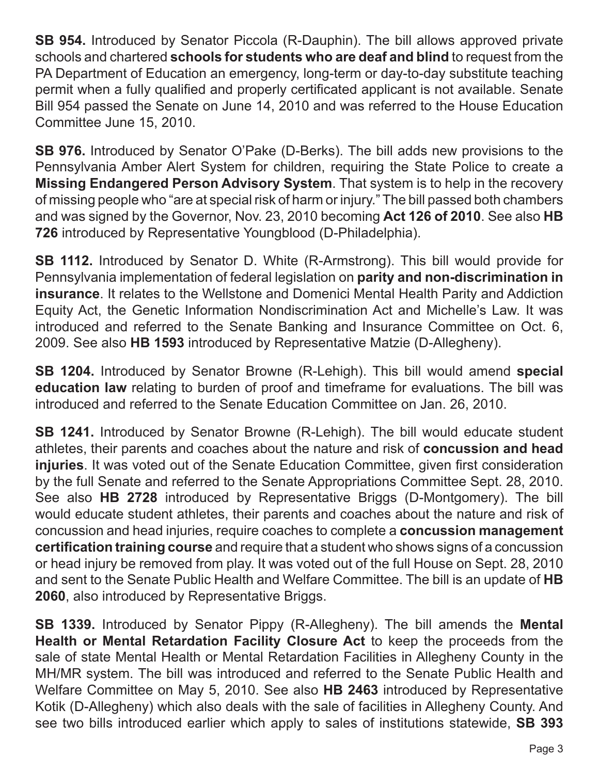**SB 954.** Introduced by Senator Piccola (R-Dauphin). The bill allows approved private schools and chartered **schools for students who are deaf and blind** to request from the PA Department of Education an emergency, long-term or day-to-day substitute teaching permit when a fully qualified and properly certificated applicant is not available. Senate Bill 954 passed the Senate on June 14, 2010 and was referred to the House Education Committee June 15, 2010.

**SB 976.** Introduced by Senator O'Pake (D-Berks). The bill adds new provisions to the Pennsylvania Amber Alert System for children, requiring the State Police to create a **Missing Endangered Person Advisory System**. That system is to help in the recovery of missing people who "are at special risk of harm or injury." The bill passed both chambers and was signed by the Governor, Nov. 23, 2010 becoming **Act 126 of 2010**. See also **HB 726** introduced by Representative Youngblood (D-Philadelphia).

**SB 1112.** Introduced by Senator D. White (R-Armstrong). This bill would provide for Pennsylvania implementation of federal legislation on **parity and non-discrimination in insurance**. It relates to the Wellstone and Domenici Mental Health Parity and Addiction Equity Act, the Genetic Information Nondiscrimination Act and Michelle's Law. It was introduced and referred to the Senate Banking and Insurance Committee on Oct. 6, 2009. See also **HB 1593** introduced by Representative Matzie (D-Allegheny).

**SB 1204.** Introduced by Senator Browne (R-Lehigh). This bill would amend **special education law** relating to burden of proof and timeframe for evaluations. The bill was introduced and referred to the Senate Education Committee on Jan. 26, 2010.

**SB 1241.** Introduced by Senator Browne (R-Lehigh). The bill would educate student athletes, their parents and coaches about the nature and risk of **concussion and head injuries**. It was voted out of the Senate Education Committee, given first consideration by the full Senate and referred to the Senate Appropriations Committee Sept. 28, 2010. See also **HB 2728** introduced by Representative Briggs (D-Montgomery). The bill would educate student athletes, their parents and coaches about the nature and risk of concussion and head injuries, require coaches to complete a **concussion management certification training course** and require that a student who shows signs of a concussion or head injury be removed from play. It was voted out of the full House on Sept. 28, 2010 and sent to the Senate Public Health and Welfare Committee. The bill is an update of **HB 2060**, also introduced by Representative Briggs.

**SB 1339.** Introduced by Senator Pippy (R-Allegheny). The bill amends the **Mental Health or Mental Retardation Facility Closure Act** to keep the proceeds from the sale of state Mental Health or Mental Retardation Facilities in Allegheny County in the MH/MR system. The bill was introduced and referred to the Senate Public Health and Welfare Committee on May 5, 2010. See also **HB 2463** introduced by Representative Kotik (D-Allegheny) which also deals with the sale of facilities in Allegheny County. And see two bills introduced earlier which apply to sales of institutions statewide, **SB 393**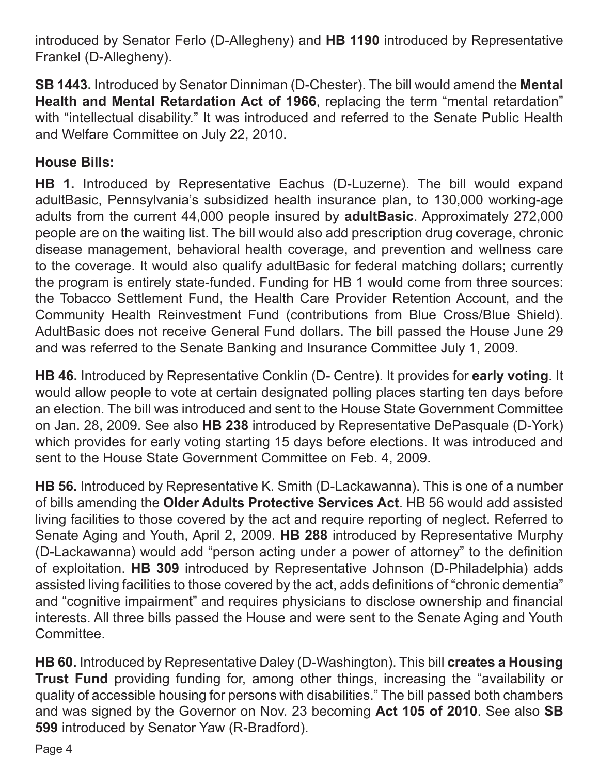introduced by Senator Ferlo (D-Allegheny) and **HB 1190** introduced by Representative Frankel (D-Allegheny).

**SB 1443.** Introduced by Senator Dinniman (D-Chester). The bill would amend the **Mental Health and Mental Retardation Act of 1966**, replacing the term "mental retardation" with "intellectual disability." It was introduced and referred to the Senate Public Health and Welfare Committee on July 22, 2010.

#### **House Bills:**

**HB 1.** Introduced by Representative Eachus (D-Luzerne). The bill would expand adultBasic, Pennsylvania's subsidized health insurance plan, to 130,000 working-age adults from the current 44,000 people insured by **adultBasic**. Approximately 272,000 people are on the waiting list. The bill would also add prescription drug coverage, chronic disease management, behavioral health coverage, and prevention and wellness care to the coverage. It would also qualify adultBasic for federal matching dollars; currently the program is entirely state-funded. Funding for HB 1 would come from three sources: the Tobacco Settlement Fund, the Health Care Provider Retention Account, and the Community Health Reinvestment Fund (contributions from Blue Cross/Blue Shield). AdultBasic does not receive General Fund dollars. The bill passed the House June 29 and was referred to the Senate Banking and Insurance Committee July 1, 2009.

**HB 46.** Introduced by Representative Conklin (D- Centre). It provides for **early voting**. It would allow people to vote at certain designated polling places starting ten days before an election. The bill was introduced and sent to the House State Government Committee on Jan. 28, 2009. See also **HB 238** introduced by Representative DePasquale (D-York) which provides for early voting starting 15 days before elections. It was introduced and sent to the House State Government Committee on Feb. 4, 2009.

**HB 56.** Introduced by Representative K. Smith (D-Lackawanna). This is one of a number of bills amending the **Older Adults Protective Services Act**. HB 56 would add assisted living facilities to those covered by the act and require reporting of neglect. Referred to Senate Aging and Youth, April 2, 2009. **HB 288** introduced by Representative Murphy (D-Lackawanna) would add "person acting under a power of attorney" to the definition of exploitation. **HB 309** introduced by Representative Johnson (D-Philadelphia) adds assisted living facilities to those covered by the act, adds definitions of "chronic dementia" and "cognitive impairment" and requires physicians to disclose ownership and financial interests. All three bills passed the House and were sent to the Senate Aging and Youth Committee.

**HB 60.** Introduced by Representative Daley (D-Washington). This bill **creates a Housing Trust Fund** providing funding for, among other things, increasing the "availability or quality of accessible housing for persons with disabilities." The bill passed both chambers and was signed by the Governor on Nov. 23 becoming **Act 105 of 2010**. See also **SB 599** introduced by Senator Yaw (R-Bradford).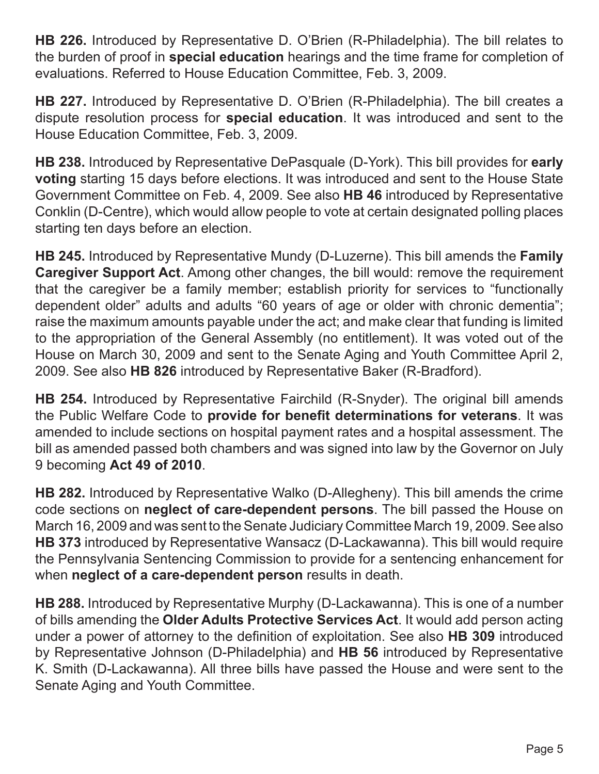**HB 226.** Introduced by Representative D. O'Brien (R-Philadelphia). The bill relates to the burden of proof in **special education** hearings and the time frame for completion of evaluations. Referred to House Education Committee, Feb. 3, 2009.

**HB 227.** Introduced by Representative D. O'Brien (R-Philadelphia). The bill creates a dispute resolution process for **special education**. It was introduced and sent to the House Education Committee, Feb. 3, 2009.

**HB 238.** Introduced by Representative DePasquale (D-York). This bill provides for **early voting** starting 15 days before elections. It was introduced and sent to the House State Government Committee on Feb. 4, 2009. See also **HB 46** introduced by Representative Conklin (D-Centre), which would allow people to vote at certain designated polling places starting ten days before an election.

**HB 245.** Introduced by Representative Mundy (D-Luzerne). This bill amends the **Family Caregiver Support Act**. Among other changes, the bill would: remove the requirement that the caregiver be a family member; establish priority for services to "functionally dependent older" adults and adults "60 years of age or older with chronic dementia"; raise the maximum amounts payable under the act; and make clear that funding is limited to the appropriation of the General Assembly (no entitlement). It was voted out of the House on March 30, 2009 and sent to the Senate Aging and Youth Committee April 2, 2009. See also **HB 826** introduced by Representative Baker (R-Bradford).

**HB 254.** Introduced by Representative Fairchild (R-Snyder). The original bill amends the Public Welfare Code to **provide for benefit determinations for veterans**. It was amended to include sections on hospital payment rates and a hospital assessment. The bill as amended passed both chambers and was signed into law by the Governor on July 9 becoming **Act 49 of 2010**.

**HB 282.** Introduced by Representative Walko (D-Allegheny). This bill amends the crime code sections on **neglect of care-dependent persons**. The bill passed the House on March 16, 2009 and was sent to the Senate Judiciary Committee March 19, 2009. See also **HB 373** introduced by Representative Wansacz (D-Lackawanna). This bill would require the Pennsylvania Sentencing Commission to provide for a sentencing enhancement for when **neglect of a care-dependent person** results in death.

**HB 288.** Introduced by Representative Murphy (D-Lackawanna). This is one of a number of bills amending the **Older Adults Protective Services Act**. It would add person acting under a power of attorney to the definition of exploitation. See also **HB 309** introduced by Representative Johnson (D-Philadelphia) and **HB 56** introduced by Representative K. Smith (D-Lackawanna). All three bills have passed the House and were sent to the Senate Aging and Youth Committee.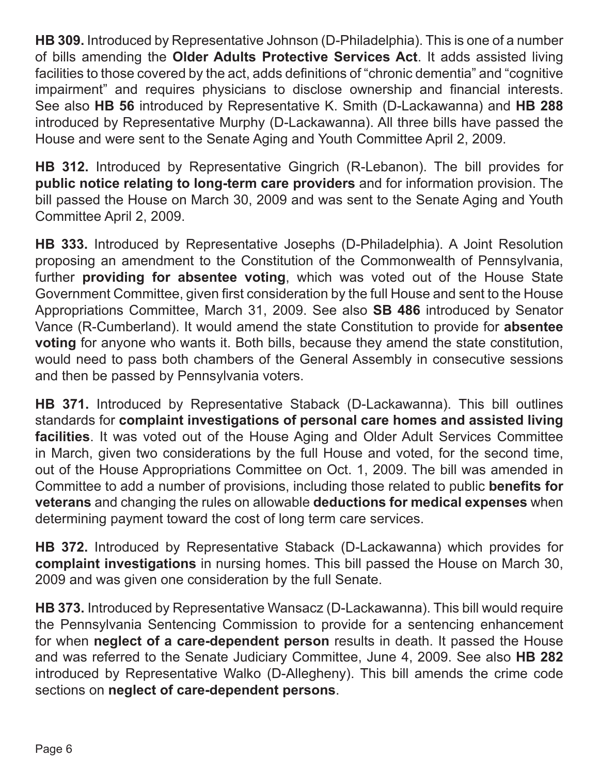**HB 309.** Introduced by Representative Johnson (D-Philadelphia). This is one of a number of bills amending the **Older Adults Protective Services Act**. It adds assisted living facilities to those covered by the act, adds definitions of "chronic dementia" and "cognitive impairment" and requires physicians to disclose ownership and financial interests. See also **HB 56** introduced by Representative K. Smith (D-Lackawanna) and **HB 288**  introduced by Representative Murphy (D-Lackawanna). All three bills have passed the House and were sent to the Senate Aging and Youth Committee April 2, 2009.

**HB 312.** Introduced by Representative Gingrich (R-Lebanon). The bill provides for **public notice relating to long-term care providers** and for information provision. The bill passed the House on March 30, 2009 and was sent to the Senate Aging and Youth Committee April 2, 2009.

**HB 333.** Introduced by Representative Josephs (D-Philadelphia). A Joint Resolution proposing an amendment to the Constitution of the Commonwealth of Pennsylvania, further **providing for absentee voting**, which was voted out of the House State Government Committee, given first consideration by the full House and sent to the House Appropriations Committee, March 31, 2009. See also **SB 486** introduced by Senator Vance (R-Cumberland). It would amend the state Constitution to provide for **absentee voting** for anyone who wants it. Both bills, because they amend the state constitution, would need to pass both chambers of the General Assembly in consecutive sessions and then be passed by Pennsylvania voters.

**HB 371.** Introduced by Representative Staback (D-Lackawanna). This bill outlines standards for **complaint investigations of personal care homes and assisted living facilities**. It was voted out of the House Aging and Older Adult Services Committee in March, given two considerations by the full House and voted, for the second time, out of the House Appropriations Committee on Oct. 1, 2009. The bill was amended in Committee to add a number of provisions, including those related to public **benefits for veterans** and changing the rules on allowable **deductions for medical expenses** when determining payment toward the cost of long term care services.

**HB 372.** Introduced by Representative Staback (D-Lackawanna) which provides for **complaint investigations** in nursing homes. This bill passed the House on March 30, 2009 and was given one consideration by the full Senate.

**HB 373.** Introduced by Representative Wansacz (D-Lackawanna). This bill would require the Pennsylvania Sentencing Commission to provide for a sentencing enhancement for when **neglect of a care-dependent person** results in death. It passed the House and was referred to the Senate Judiciary Committee, June 4, 2009. See also **HB 282**  introduced by Representative Walko (D-Allegheny). This bill amends the crime code sections on **neglect of care-dependent persons**.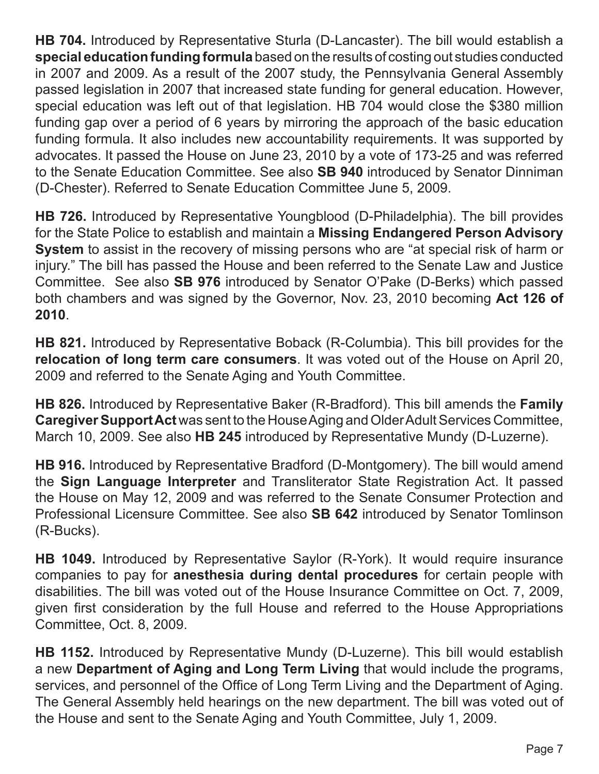**HB 704.** Introduced by Representative Sturla (D-Lancaster). The bill would establish a **special education funding formula** based on the results of costing out studies conducted in 2007 and 2009. As a result of the 2007 study, the Pennsylvania General Assembly passed legislation in 2007 that increased state funding for general education. However, special education was left out of that legislation. HB 704 would close the \$380 million funding gap over a period of 6 years by mirroring the approach of the basic education funding formula. It also includes new accountability requirements. It was supported by advocates. It passed the House on June 23, 2010 by a vote of 173-25 and was referred to the Senate Education Committee. See also **SB 940** introduced by Senator Dinniman (D-Chester). Referred to Senate Education Committee June 5, 2009.

**HB 726.** Introduced by Representative Youngblood (D-Philadelphia). The bill provides for the State Police to establish and maintain a **Missing Endangered Person Advisory System** to assist in the recovery of missing persons who are "at special risk of harm or injury." The bill has passed the House and been referred to the Senate Law and Justice Committee. See also **SB 976** introduced by Senator O'Pake (D-Berks) which passed both chambers and was signed by the Governor, Nov. 23, 2010 becoming **Act 126 of 2010**.

**HB 821.** Introduced by Representative Boback (R-Columbia). This bill provides for the **relocation of long term care consumers**. It was voted out of the House on April 20, 2009 and referred to the Senate Aging and Youth Committee.

**HB 826.** Introduced by Representative Baker (R-Bradford). This bill amends the **Family Caregiver Support Act** was sent to the House Aging and Older Adult Services Committee, March 10, 2009. See also **HB 245** introduced by Representative Mundy (D-Luzerne).

**HB 916.** Introduced by Representative Bradford (D-Montgomery). The bill would amend the **Sign Language Interpreter** and Transliterator State Registration Act. It passed the House on May 12, 2009 and was referred to the Senate Consumer Protection and Professional Licensure Committee. See also **SB 642** introduced by Senator Tomlinson (R-Bucks).

**HB 1049.** Introduced by Representative Saylor (R-York). It would require insurance companies to pay for **anesthesia during dental procedures** for certain people with disabilities. The bill was voted out of the House Insurance Committee on Oct. 7, 2009, given first consideration by the full House and referred to the House Appropriations Committee, Oct. 8, 2009.

**HB 1152.** Introduced by Representative Mundy (D-Luzerne). This bill would establish a new **Department of Aging and Long Term Living** that would include the programs, services, and personnel of the Office of Long Term Living and the Department of Aging. The General Assembly held hearings on the new department. The bill was voted out of the House and sent to the Senate Aging and Youth Committee, July 1, 2009.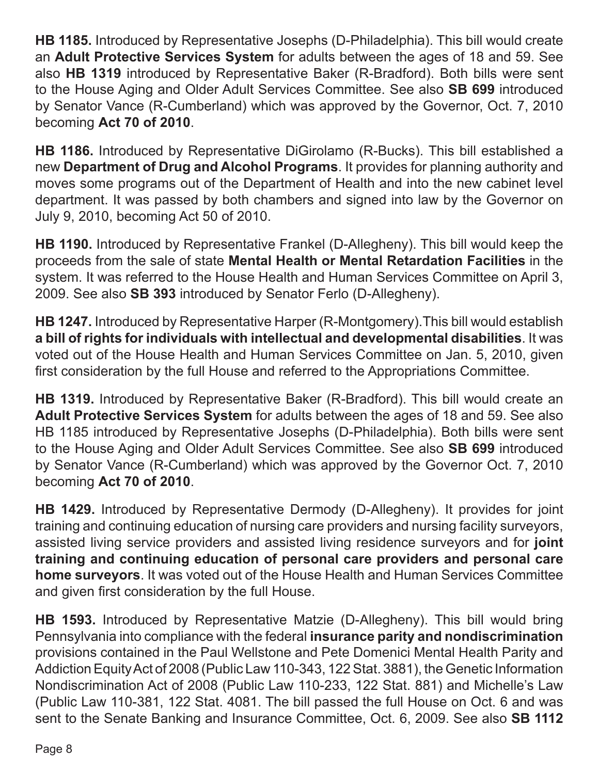**HB 1185.** Introduced by Representative Josephs (D-Philadelphia). This bill would create an **Adult Protective Services System** for adults between the ages of 18 and 59. See also **HB 1319** introduced by Representative Baker (R-Bradford). Both bills were sent to the House Aging and Older Adult Services Committee. See also **SB 699** introduced by Senator Vance (R-Cumberland) which was approved by the Governor, Oct. 7, 2010 becoming **Act 70 of 2010**.

**HB 1186.** Introduced by Representative DiGirolamo (R-Bucks). This bill established a new **Department of Drug and Alcohol Programs**. It provides for planning authority and moves some programs out of the Department of Health and into the new cabinet level department. It was passed by both chambers and signed into law by the Governor on July 9, 2010, becoming Act 50 of 2010.

**HB 1190.** Introduced by Representative Frankel (D-Allegheny). This bill would keep the proceeds from the sale of state **Mental Health or Mental Retardation Facilities** in the system. It was referred to the House Health and Human Services Committee on April 3, 2009. See also **SB 393** introduced by Senator Ferlo (D-Allegheny).

**HB 1247.** Introduced by Representative Harper (R-Montgomery).This bill would establish **a bill of rights for individuals with intellectual and developmental disabilities**. It was voted out of the House Health and Human Services Committee on Jan. 5, 2010, given first consideration by the full House and referred to the Appropriations Committee.

**HB 1319.** Introduced by Representative Baker (R-Bradford). This bill would create an **Adult Protective Services System** for adults between the ages of 18 and 59. See also HB 1185 introduced by Representative Josephs (D-Philadelphia). Both bills were sent to the House Aging and Older Adult Services Committee. See also **SB 699** introduced by Senator Vance (R-Cumberland) which was approved by the Governor Oct. 7, 2010 becoming **Act 70 of 2010**.

**HB 1429.** Introduced by Representative Dermody (D-Allegheny). It provides for joint training and continuing education of nursing care providers and nursing facility surveyors, assisted living service providers and assisted living residence surveyors and for **joint training and continuing education of personal care providers and personal care home surveyors**. It was voted out of the House Health and Human Services Committee and given first consideration by the full House.

**HB 1593.** Introduced by Representative Matzie (D-Allegheny). This bill would bring Pennsylvania into compliance with the federal **insurance parity and nondiscrimination**  provisions contained in the Paul Wellstone and Pete Domenici Mental Health Parity and Addiction Equity Act of 2008 (Public Law 110-343, 122 Stat. 3881), the Genetic Information Nondiscrimination Act of 2008 (Public Law 110-233, 122 Stat. 881) and Michelle's Law (Public Law 110-381, 122 Stat. 4081. The bill passed the full House on Oct. 6 and was sent to the Senate Banking and Insurance Committee, Oct. 6, 2009. See also **SB 1112**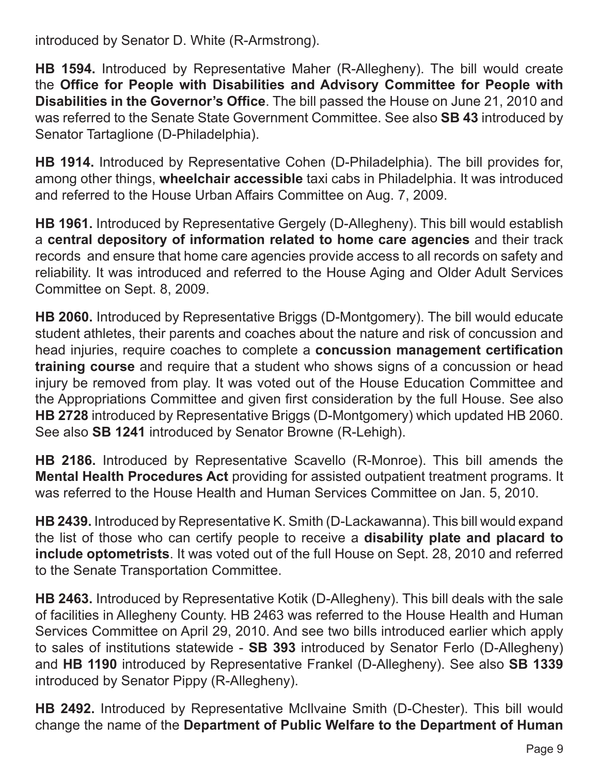introduced by Senator D. White (R-Armstrong).

**HB 1594.** Introduced by Representative Maher (R-Allegheny). The bill would create the **Office for People with Disabilities and Advisory Committee for People with Disabilities in the Governor's Office**. The bill passed the House on June 21, 2010 and was referred to the Senate State Government Committee. See also **SB 43** introduced by Senator Tartaglione (D-Philadelphia).

**HB 1914.** Introduced by Representative Cohen (D-Philadelphia). The bill provides for, among other things, **wheelchair accessible** taxi cabs in Philadelphia. It was introduced and referred to the House Urban Affairs Committee on Aug. 7, 2009.

**HB 1961.** Introduced by Representative Gergely (D-Allegheny). This bill would establish a **central depository of information related to home care agencies** and their track records and ensure that home care agencies provide access to all records on safety and reliability. It was introduced and referred to the House Aging and Older Adult Services Committee on Sept. 8, 2009.

**HB 2060.** Introduced by Representative Briggs (D-Montgomery). The bill would educate student athletes, their parents and coaches about the nature and risk of concussion and head injuries, require coaches to complete a **concussion management certification training course** and require that a student who shows signs of a concussion or head injury be removed from play. It was voted out of the House Education Committee and the Appropriations Committee and given first consideration by the full House. See also **HB 2728** introduced by Representative Briggs (D-Montgomery) which updated HB 2060. See also **SB 1241** introduced by Senator Browne (R-Lehigh).

**HB 2186.** Introduced by Representative Scavello (R-Monroe). This bill amends the **Mental Health Procedures Act** providing for assisted outpatient treatment programs. It was referred to the House Health and Human Services Committee on Jan. 5, 2010.

**HB 2439.** Introduced by Representative K. Smith (D-Lackawanna). This bill would expand the list of those who can certify people to receive a **disability plate and placard to include optometrists**. It was voted out of the full House on Sept. 28, 2010 and referred to the Senate Transportation Committee.

**HB 2463.** Introduced by Representative Kotik (D-Allegheny). This bill deals with the sale of facilities in Allegheny County. HB 2463 was referred to the House Health and Human Services Committee on April 29, 2010. And see two bills introduced earlier which apply to sales of institutions statewide - **SB 393** introduced by Senator Ferlo (D-Allegheny) and **HB 1190** introduced by Representative Frankel (D-Allegheny). See also **SB 1339**  introduced by Senator Pippy (R-Allegheny).

**HB 2492.** Introduced by Representative McIlvaine Smith (D-Chester). This bill would change the name of the **Department of Public Welfare to the Department of Human**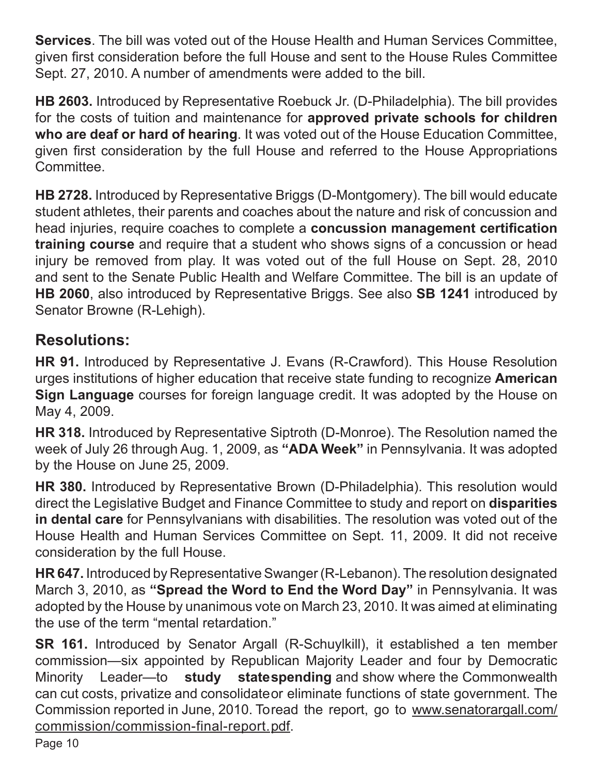**Services**. The bill was voted out of the House Health and Human Services Committee, given first consideration before the full House and sent to the House Rules Committee Sept. 27, 2010. A number of amendments were added to the bill.

**HB 2603.** Introduced by Representative Roebuck Jr. (D-Philadelphia). The bill provides for the costs of tuition and maintenance for **approved private schools for children who are deaf or hard of hearing**. It was voted out of the House Education Committee, given first consideration by the full House and referred to the House Appropriations Committee.

**HB 2728.** Introduced by Representative Briggs (D-Montgomery). The bill would educate student athletes, their parents and coaches about the nature and risk of concussion and head injuries, require coaches to complete a **concussion management certification training course** and require that a student who shows signs of a concussion or head injury be removed from play. It was voted out of the full House on Sept. 28, 2010 and sent to the Senate Public Health and Welfare Committee. The bill is an update of **HB 2060**, also introduced by Representative Briggs. See also **SB 1241** introduced by Senator Browne (R-Lehigh).

## **Resolutions:**

**HR 91.** Introduced by Representative J. Evans (R-Crawford). This House Resolution urges institutions of higher education that receive state funding to recognize **American Sign Language** courses for foreign language credit. It was adopted by the House on May 4, 2009.

**HR 318.** Introduced by Representative Siptroth (D-Monroe). The Resolution named the week of July 26 through Aug. 1, 2009, as **"ADA Week"** in Pennsylvania. It was adopted by the House on June 25, 2009.

**HR 380.** Introduced by Representative Brown (D-Philadelphia). This resolution would direct the Legislative Budget and Finance Committee to study and report on **disparities in dental care** for Pennsylvanians with disabilities. The resolution was voted out of the House Health and Human Services Committee on Sept. 11, 2009. It did not receive consideration by the full House.

**HR 647.** Introduced by Representative Swanger (R-Lebanon). The resolution designated March 3, 2010, as **"Spread the Word to End the Word Day"** in Pennsylvania. It was adopted by the House by unanimous vote on March 23, 2010. It was aimed at eliminating the use of the term "mental retardation."

**SR 161.** Introduced by Senator Argall (R-Schuylkill), it established a ten member commission—six appointed by Republican Majority Leader and four by Democratic Minority Leader—to **study state spending** and show where the Commonwealth can cut costs, privatize and consolidate or eliminate functions of state government. The Commission reported in June, 2010. To read the report, go to www.senatorargall.com/ commission/commission-final-report.pdf.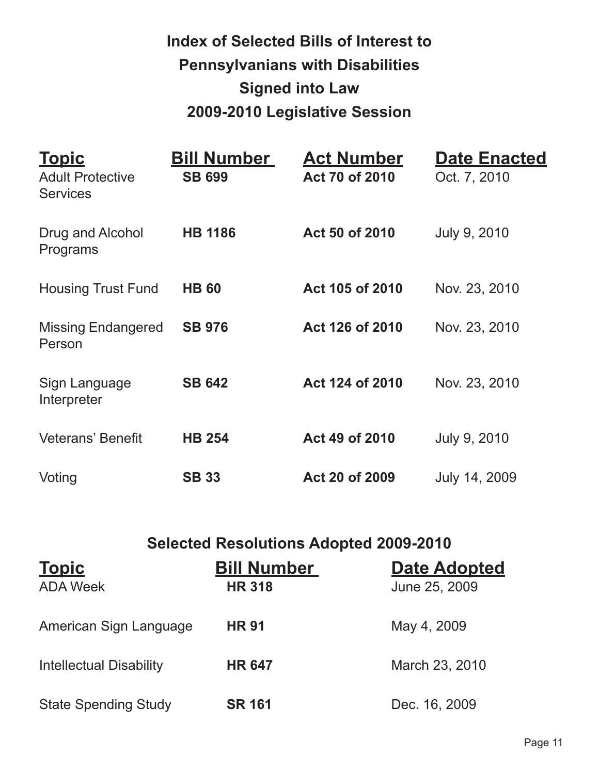# **Index of Selected Bills of Interest to Pennsylvanians with Disabilities Signed into Law 2009-2010 Legislative Session**

| <u>Topic</u><br><b>Adult Protective</b><br><b>Services</b> | <b>Bill Number</b><br><b>SB 699</b> | <b>Act Number</b><br>Act 70 of 2010 | <b>Date Enacted</b><br>Oct. 7, 2010 |
|------------------------------------------------------------|-------------------------------------|-------------------------------------|-------------------------------------|
| Drug and Alcohol<br>Programs                               | <b>HB 1186</b>                      | Act 50 of 2010                      | July 9, 2010                        |
| <b>Housing Trust Fund</b>                                  | <b>HB 60</b>                        | Act 105 of 2010                     | Nov. 23, 2010                       |
| <b>Missing Endangered</b><br>Person                        | <b>SB 976</b>                       | Act 126 of 2010                     | Nov. 23, 2010                       |
| Sign Language<br>Interpreter                               | <b>SB 642</b>                       | Act 124 of 2010                     | Nov. 23, 2010                       |
| <b>Veterans' Benefit</b>                                   | <b>HB 254</b>                       | Act 49 of 2010                      | July 9, 2010                        |
| Voting                                                     | <b>SB 33</b>                        | Act 20 of 2009                      | July 14, 2009                       |

## **Selected Resolutions Adopted 2009-2010**

| <b>Topic</b>                   | <b>Bill Number</b> | <b>Date Adopted</b> |
|--------------------------------|--------------------|---------------------|
| <b>ADA Week</b>                | <b>HR 318</b>      | June 25, 2009       |
| American Sign Language         | <b>HR 91</b>       | May 4, 2009         |
| <b>Intellectual Disability</b> | <b>HR 647</b>      | March 23, 2010      |
| <b>State Spending Study</b>    | <b>SR 161</b>      | Dec. 16, 2009       |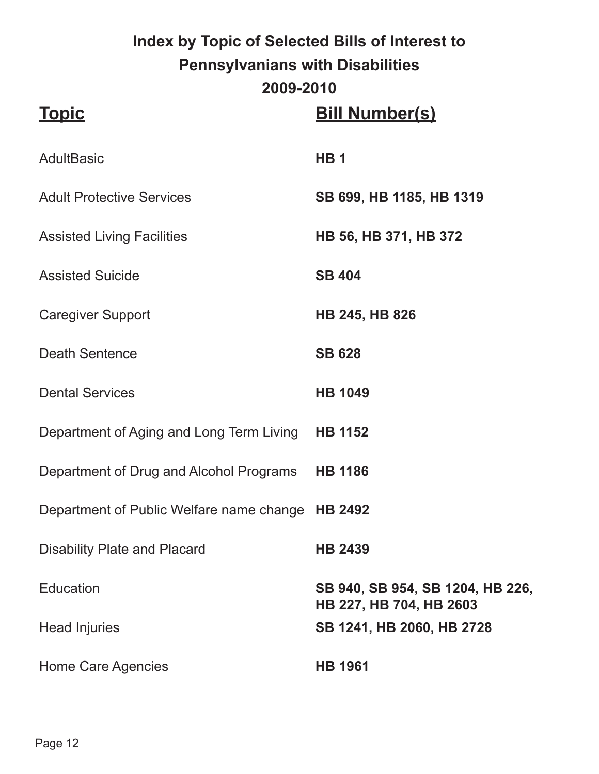# **Index by Topic of Selected Bills of Interest to Pennsylvanians with Disabilities 2009-2010**

| <b>Topic</b>                                     | <b>Bill Number(s)</b>                                       |
|--------------------------------------------------|-------------------------------------------------------------|
| <b>AdultBasic</b>                                | HB <sub>1</sub>                                             |
| <b>Adult Protective Services</b>                 | SB 699, HB 1185, HB 1319                                    |
| <b>Assisted Living Facilities</b>                | HB 56, HB 371, HB 372                                       |
| <b>Assisted Suicide</b>                          | <b>SB 404</b>                                               |
| <b>Caregiver Support</b>                         | <b>HB 245, HB 826</b>                                       |
| <b>Death Sentence</b>                            | <b>SB 628</b>                                               |
| <b>Dental Services</b>                           | <b>HB 1049</b>                                              |
| Department of Aging and Long Term Living         | <b>HB 1152</b>                                              |
| Department of Drug and Alcohol Programs          | <b>HB 1186</b>                                              |
| Department of Public Welfare name change HB 2492 |                                                             |
| <b>Disability Plate and Placard</b>              | <b>HB 2439</b>                                              |
| Education                                        | SB 940, SB 954, SB 1204, HB 226,<br>HB 227, HB 704, HB 2603 |
| <b>Head Injuries</b>                             | SB 1241, HB 2060, HB 2728                                   |
| <b>Home Care Agencies</b>                        | <b>HB 1961</b>                                              |